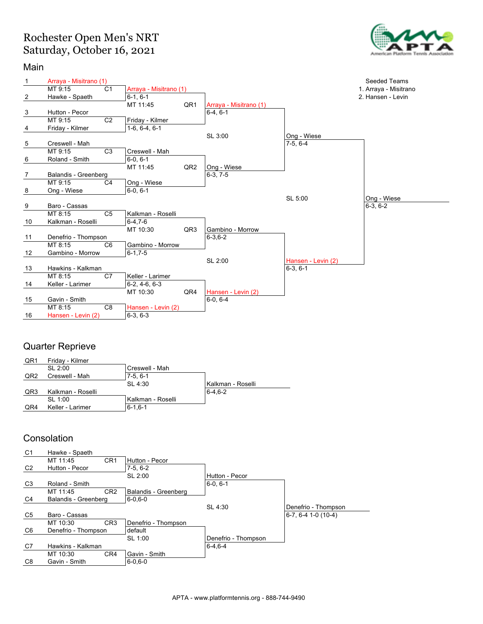## Rochester Open Men's NRT Saturday, October 16, 2021



#### Main



### Quarter Reprieve

| QR1             | Friday - Kilmer   |                     |                   |
|-----------------|-------------------|---------------------|-------------------|
|                 | SL 2:00           | Creswell - Mah      |                   |
| QR <sub>2</sub> | Creswell - Mah    | $7-5.6-1$           |                   |
|                 |                   | SL 4:30             | Kalkman - Roselli |
| QR3             | Kalkman - Roselli |                     | $6 - 4.6 - 2$     |
|                 | SL 1:00           | l Kalkman - Roselli |                   |
| QR4             | Keller - Larimer  | $6 - 1, 6 - 1$      |                   |
|                 |                   |                     |                   |

### **Consolation**